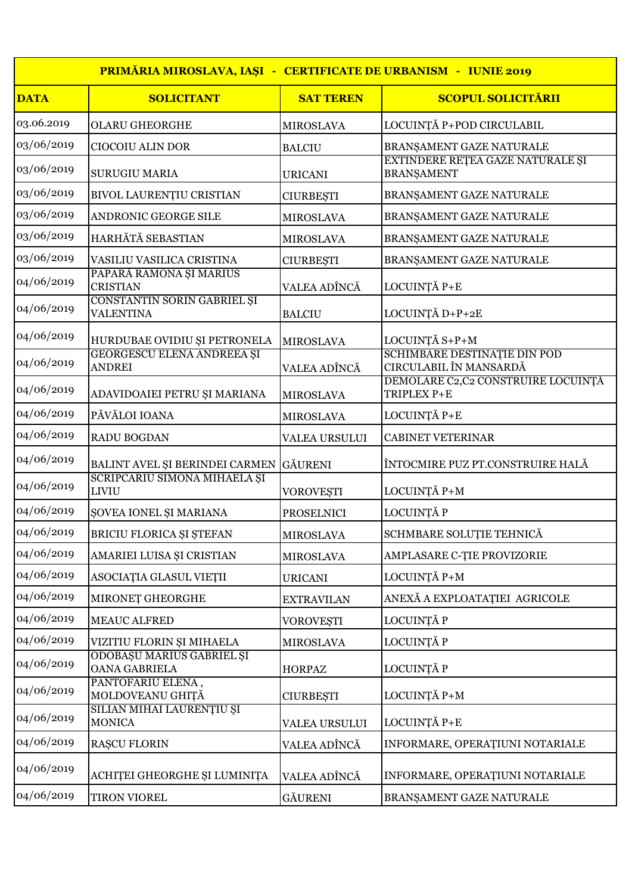|             | PRIMĂRIA MIROSLAVA, IAȘI - CERTIFICATE DE URBANISM - IUNIE 2019 |                      |                                                        |
|-------------|-----------------------------------------------------------------|----------------------|--------------------------------------------------------|
| <b>DATA</b> | <b>SOLICITANT</b>                                               | <b>SAT TEREN</b>     | <b>SCOPUL SOLICITĂRII</b>                              |
| 03.06.2019  | <b>OLARU GHEORGHE</b>                                           | <b>MIROSLAVA</b>     | LOCUINȚĂ P+POD CIRCULABIL                              |
| 03/06/2019  | CIOCOIU ALIN DOR                                                | <b>BALCIU</b>        | BRANŞAMENT GAZE NATURALE                               |
| 03/06/2019  | <b>SURUGIU MARIA</b>                                            | <b>URICANI</b>       | EXTINDERE REȚEA GAZE NATURALE ȘI<br><b>BRANŞAMENT</b>  |
| 03/06/2019  | BIVOL LAURENȚIU CRISTIAN                                        | <b>CIURBEȘTI</b>     | BRANŞAMENT GAZE NATURALE                               |
| 03/06/2019  | ANDRONIC GEORGE SILE                                            | <b>MIROSLAVA</b>     | BRANŞAMENT GAZE NATURALE                               |
| 03/06/2019  | HARHĂTĂ SEBASTIAN                                               | <b>MIROSLAVA</b>     | BRANŞAMENT GAZE NATURALE                               |
| 03/06/2019  | VASILIU VASILICA CRISTINA                                       | <b>CIURBEȘTI</b>     | BRANŞAMENT GAZE NATURALE                               |
| 04/06/2019  | PAPARÁ RAMONA ȘI MARIUS<br><b>CRISTIAN</b>                      | VALEA ADÎNCĂ         | LOCUINȚĂ P+E                                           |
| 04/06/2019  | CONSTANTIN SORIN GABRIEL ȘI<br><b>VALENTINA</b>                 | <b>BALCIU</b>        | LOCUINȚĂ D+P+2E                                        |
| 04/06/2019  | HURDUBAE OVIDIU ȘI PETRONELA                                    | <b>MIROSLAVA</b>     | LOCUINȚĂ S+P+M                                         |
| 04/06/2019  | <b>GEORGESCU ELENA ANDREEA ȘI</b><br><b>ANDREI</b>              | VALEA ADÎNCĂ         | SCHIMBARE DESTINATIE DIN POD<br>CIRCULABIL ÎN MANSARDĂ |
| 04/06/2019  | ADAVIDOAIEI PETRU ȘI MARIANA                                    | <b>MIROSLAVA</b>     | DEMOLARE C2,C2 CONSTRUIRE LOCUINȚĂ<br>TRIPLEX P+E      |
| 04/06/2019  | PĂVĂLOI IOANA                                                   | <b>MIROSLAVA</b>     | LOCUINȚĂ P+E                                           |
| 04/06/2019  | RADU BOGDAN                                                     | <b>VALEA URSULUI</b> | <b>CABINET VETERINAR</b>                               |
| 04/06/2019  | BALINT AVEL ȘI BERINDEI CARMEN                                  | <b>GÄURENI</b>       | ÎNTOCMIRE PUZ PT.CONSTRUIRE HALĂ                       |
| 04/06/2019  | SCRIPCARIU SIMONA MIHAELA ȘI<br><b>LIVIU</b>                    | <b>VOROVEȘTI</b>     | LOCUINȚĂ P+M                                           |
| 04/06/2019  | ŞOVEA IONEL ŞI MARIANA                                          | <b>PROSELNICI</b>    | LOCUINȚĂ P                                             |
| 04/06/2019  | BRICIU FLORICA ȘI ȘTEFAN                                        | <b>MIROSLAVA</b>     | SCHMBARE SOLUȚIE TEHNICĂ                               |
| 04/06/2019  | AMARIEI LUISA ȘI CRISTIAN                                       | <b>MIROSLAVA</b>     | AMPLASARE C-TIE PROVIZORIE                             |
| 04/06/2019  | ASOCIAȚIA GLASUL VIEȚII                                         | <b>URICANI</b>       | LOCUINȚĂ P+M                                           |
| 04/06/2019  | MIRONET GHEORGHE                                                | <b>EXTRAVILAN</b>    | ANEXĂ A EXPLOATAȚIEI AGRICOLE                          |
| 04/06/2019  | <b>MEAUC ALFRED</b>                                             | <b>VOROVEȘTI</b>     | LOCUINȚĂ P                                             |
| 04/06/2019  | VIZITIU FLORIN ȘI MIHAELA                                       | <b>MIROSLAVA</b>     | LOCUINȚĂ P                                             |
| 04/06/2019  | ODOBAȘU MARIUS GABRIEL ȘI<br><b>OANA GABRIELA</b>               | <b>HORPAZ</b>        | LOCUINȚĂ P                                             |
| 04/06/2019  | PANTOFARIU ELENA,<br>MOLDOVEANU GHITĂ                           | <b>CIURBEȘTI</b>     | LOCUINȚĂ P+M                                           |
| 04/06/2019  | SILIAN MIHAI LAURENȚIU ȘI<br><b>MONICA</b>                      | VALEA URSULUI        | LOCUINȚĂ P+E                                           |
| 04/06/2019  | <b>RAȘCU FLORIN</b>                                             | VALEA ADÎNCĂ         | INFORMARE, OPERAȚIUNI NOTARIALE                        |
| 04/06/2019  | ACHITEI GHEORGHE ȘI LUMINIȚA                                    | VALEA ADÎNCĂ         | INFORMARE, OPERAȚIUNI NOTARIALE                        |
| 04/06/2019  | <b>TIRON VIOREL</b>                                             | <b>GÄURENI</b>       | BRANŞAMENT GAZE NATURALE                               |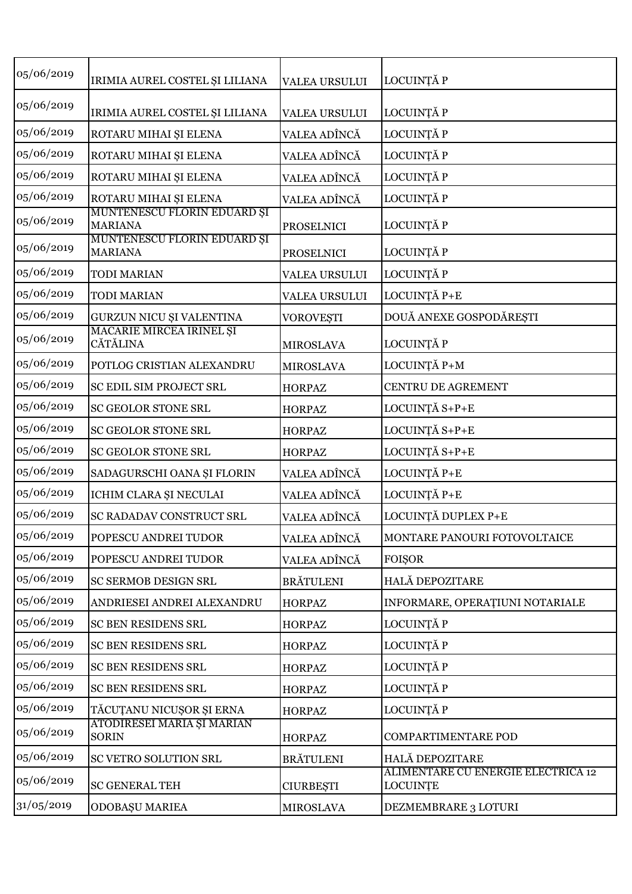| 05/06/2019 | IRIMIA AUREL COSTEL ȘI LILIANA                | <b>VALEA URSULUI</b> | LOCUINȚĂ P                                            |
|------------|-----------------------------------------------|----------------------|-------------------------------------------------------|
| 05/06/2019 | IRIMIA AUREL COSTEL ȘI LILIANA                | <b>VALEA URSULUI</b> | LOCUINȚĂ P                                            |
| 05/06/2019 | ROTARU MIHAI ȘI ELENA                         | VALEA ADÎNCĂ         | LOCUINȚĂ P                                            |
| 05/06/2019 | ROTARU MIHAI ȘI ELENA                         | VALEA ADÎNCĂ         | LOCUINȚĂ P                                            |
| 05/06/2019 | ROTARU MIHAI ȘI ELENA                         | VALEA ADÎNCĂ         | LOCUINȚĂ P                                            |
| 05/06/2019 | ROTARU MIHAI ȘI ELENA                         | VALEA ADÎNCĂ         | LOCUINȚĂ P                                            |
| 05/06/2019 | MUNTENESCU FLORIN EDUARD ȘI<br><b>MARIANA</b> | PROSELNICI           | LOCUINȚĂ P                                            |
| 05/06/2019 | MUNTENESCU FLORIN EDUARD ȘI<br><b>MARIANA</b> | <b>PROSELNICI</b>    | LOCUINȚĂ P                                            |
| 05/06/2019 | <b>TODI MARIAN</b>                            | <b>VALEA URSULUI</b> | LOCUINȚĂ P                                            |
| 05/06/2019 | <b>TODI MARIAN</b>                            | <b>VALEA URSULUI</b> | LOCUINȚĂ P+E                                          |
| 05/06/2019 | GURZUN NICU ȘI VALENTINA                      | <b>VOROVEȘTI</b>     | DOUĂ ANEXE GOSPODĂREȘTI                               |
| 05/06/2019 | MACARIE MIRCEA IRINEL ȘI<br><b>CĂTĂLINA</b>   | <b>MIROSLAVA</b>     | LOCUINȚĂ P                                            |
| 05/06/2019 | POTLOG CRISTIAN ALEXANDRU                     | <b>MIROSLAVA</b>     | LOCUINȚĂ P+M                                          |
| 05/06/2019 | SC EDIL SIM PROJECT SRL                       | <b>HORPAZ</b>        | CENTRU DE AGREMENT                                    |
| 05/06/2019 | SC GEOLOR STONE SRL                           | <b>HORPAZ</b>        | LOCUINȚĂ S+P+E                                        |
| 05/06/2019 | SC GEOLOR STONE SRL                           | <b>HORPAZ</b>        | LOCUINȚĂ S+P+E                                        |
| 05/06/2019 | <b>SC GEOLOR STONE SRL</b>                    | <b>HORPAZ</b>        | LOCUINȚĂ S+P+E                                        |
| 05/06/2019 | SADAGURSCHI OANA ȘI FLORIN                    | VALEA ADÎNCĂ         | LOCUINȚĂ P+E                                          |
| 05/06/2019 | ICHIM CLARA ȘI NECULAI                        | VALEA ADÎNCĂ         | LOCUINȚĂ P+E                                          |
| 05/06/2019 | SC RADADAV CONSTRUCT SRL                      | VALEA ADÎNCĂ         | LOCUINȚĂ DUPLEX P+E                                   |
| 05/06/2019 | POPESCU ANDREI TUDOR                          | VALEA ADÎNCĂ         | MONTARE PANOURI FOTOVOLTAICE                          |
| 05/06/2019 | POPESCU ANDREI TUDOR                          | VALEA ADÎNCĂ         | <b>FOISOR</b>                                         |
| 05/06/2019 | SC SERMOB DESIGN SRL                          | <b>BRÄTULENI</b>     | HALĂ DEPOZITARE                                       |
| 05/06/2019 | ANDRIESEI ANDREI ALEXANDRU                    | <b>HORPAZ</b>        | INFORMARE, OPERAȚIUNI NOTARIALE                       |
| 05/06/2019 | SC BEN RESIDENS SRL                           | <b>HORPAZ</b>        | LOCUINȚĂ P                                            |
| 05/06/2019 | SC BEN RESIDENS SRL                           | <b>HORPAZ</b>        | LOCUINȚĂ P                                            |
| 05/06/2019 | SC BEN RESIDENS SRL                           | <b>HORPAZ</b>        | LOCUINȚĂ P                                            |
| 05/06/2019 | SC BEN RESIDENS SRL                           | <b>HORPAZ</b>        | LOCUINȚĂ P                                            |
| 05/06/2019 | TĂCUȚANU NICUȘOR ȘI ERNA                      | <b>HORPAZ</b>        | LOCUINȚĂ P                                            |
| 05/06/2019 | ATODIRESEI MARIA ȘI MARIAN<br><b>SORIN</b>    | <b>HORPAZ</b>        | COMPARTIMENTARE POD                                   |
| 05/06/2019 | SC VETRO SOLUTION SRL                         | <b>BRÄTULENI</b>     | HALĂ DEPOZITARE                                       |
| 05/06/2019 | <b>SC GENERAL TEH</b>                         | <b>CIURBEȘTI</b>     | ALIMENTARE CU ENERGIE ELECTRICĂ 12<br><b>LOCUINȚE</b> |
| 31/05/2019 | ODOBAȘU MARIEA                                | <b>MIROSLAVA</b>     | DEZMEMBRARE 3 LOTURI                                  |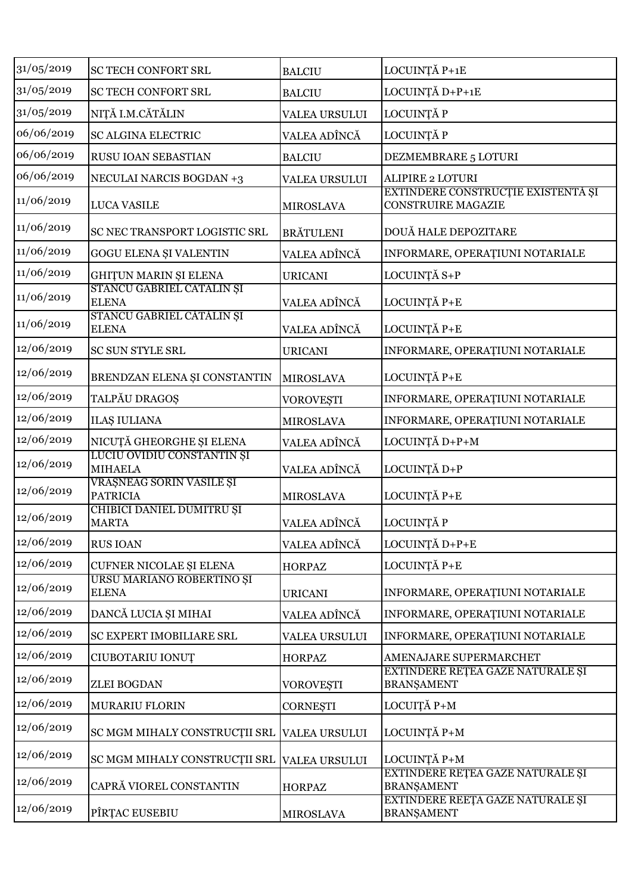| 31/05/2019 | SC TECH CONFORT SRL                          | <b>BALCIU</b>        | LOCUINȚĂ P+1E                                                   |
|------------|----------------------------------------------|----------------------|-----------------------------------------------------------------|
| 31/05/2019 | SC TECH CONFORT SRL                          | <b>BALCIU</b>        | LOCUINȚĂ D+P+1E                                                 |
| 31/05/2019 | NIȚĂ I.M.CĂTĂLIN                             | <b>VALEA URSULUI</b> | LOCUINȚĂ P                                                      |
| 06/06/2019 | <b>SC ALGINA ELECTRIC</b>                    | VALEA ADÎNCĂ         | LOCUINȚĂ P                                                      |
| 06/06/2019 | RUSU IOAN SEBASTIAN                          | <b>BALCIU</b>        | DEZMEMBRARE 5 LOTURI                                            |
| 06/06/2019 | <b>NECULAI NARCIS BOGDAN +3</b>              | <b>VALEA URSULUI</b> | <b>ALIPIRE 2 LOTURI</b>                                         |
| 11/06/2019 | <b>LUCA VASILE</b>                           | <b>MIROSLAVA</b>     | EXTINDERE CONSTRUCȚIE EXISTENTĂ ȘI<br><b>CONSTRUIRE MAGAZIE</b> |
| 11/06/2019 | SC NEC TRANSPORT LOGISTIC SRL                | <b>BRÄTULENI</b>     | DOUĂ HALE DEPOZITARE                                            |
| 11/06/2019 | GOGU ELENA ȘI VALENTIN                       | VALEA ADÎNCĂ         | INFORMARE, OPERAȚIUNI NOTARIALE                                 |
| 11/06/2019 | <b>GHITUN MARIN ȘI ELENA</b>                 | <b>URICANI</b>       | LOCUINȚĂ S+P                                                    |
| 11/06/2019 | STANCU GABRIEL CĂTĂLIN ȘI<br><b>ELENA</b>    | VALEA ADÎNCĂ         | LOCUINȚĂ P+E                                                    |
| 11/06/2019 | STANCU GABRIEL CĂTĂLIN ȘI<br><b>ELENA</b>    | VALEA ADÎNCĂ         | LOCUINȚĂ P+E                                                    |
| 12/06/2019 | <b>SC SUN STYLE SRL</b>                      | <b>URICANI</b>       | INFORMARE, OPERAȚIUNI NOTARIALE                                 |
| 12/06/2019 | BRENDZAN ELENA ȘI CONSTANTIN                 | MIROSLAVA            | LOCUINȚĂ P+E                                                    |
| 12/06/2019 | TALPĂU DRAGOȘ                                | <b>VOROVEȘTI</b>     | INFORMARE, OPERAȚIUNI NOTARIALE                                 |
| 12/06/2019 | <b>ILAȘ IULIANA</b>                          | <b>MIROSLAVA</b>     | INFORMARE, OPERAȚIUNI NOTARIALE                                 |
| 12/06/2019 | NICUȚĂ GHEORGHE ȘI ELENA                     | VALEA ADÎNCĂ         | LOCUINȚĂ D+P+M                                                  |
| 12/06/2019 | LUCIU OVIDIU CONSTANTIN ȘI<br><b>MIHAELA</b> | VALEA ADÎNCĂ         | LOCUINȚĂ D+P                                                    |
| 12/06/2019 | VRÁȘNEAG SORIN VASILE ȘI<br><b>PATRICIA</b>  | <b>MIROSLAVA</b>     | LOCUINȚĂ P+E                                                    |
| 12/06/2019 | CHIBICI DANIEL DUMITRU ȘI<br><b>MARTA</b>    | VALEA ADÎNCĂ         | LOCUINȚĂ P                                                      |
| 12/06/2019 | <b>RUS IOAN</b>                              | VALEA ADÎNCĂ         | LOCUINȚĂ D+P+E                                                  |
| 12/06/2019 | CUFNER NICOLAE ȘI ELENA                      | <b>HORPAZ</b>        | LOCUINȚĂ P+E                                                    |
| 12/06/2019 | URSU MARIANO ROBERTINO ȘI<br><b>ELENA</b>    | <b>URICANI</b>       | INFORMARE, OPERAȚIUNI NOTARIALE                                 |
| 12/06/2019 | DANCĂ LUCIA ȘI MIHAI                         | VALEA ADÎNCĂ         | INFORMARE, OPERAȚIUNI NOTARIALE                                 |
| 12/06/2019 | SC EXPERT IMOBILIARE SRL                     | VALEA URSULUI        | INFORMARE, OPERAȚIUNI NOTARIALE                                 |
| 12/06/2019 | CIUBOTARIU IONUȚ                             | <b>HORPAZ</b>        | AMENAJARE SUPERMARCHET                                          |
| 12/06/2019 | ZLEI BOGDAN                                  | <b>VOROVEȘTI</b>     | EXTINDERE REȚEA GAZE NATURALE ȘI<br><b>BRANŞAMENT</b>           |
| 12/06/2019 | MURARIU FLORIN                               | <b>CORNEŞTI</b>      | LOCUIȚĂ P+M                                                     |
| 12/06/2019 | SC MGM MIHALY CONSTRUCȚII SRL                | <b>VALEA URSULUI</b> | LOCUINȚĂ P+M                                                    |
| 12/06/2019 | SC MGM MIHALY CONSTRUCȚII SRL                | <b>VALEA URSULUI</b> | LOCUINȚĂ P+M                                                    |
| 12/06/2019 | CAPRĂ VIOREL CONSTANTIN                      | <b>HORPAZ</b>        | EXTINDERE REȚEA GAZE NATURALE ȘI<br><b>BRANŞAMENT</b>           |
| 12/06/2019 | PÎRȚAC EUSEBIU                               | <b>MIROSLAVA</b>     | EXTINDERE REEȚA GAZE NATURALE ȘI<br><b>BRANŞAMENT</b>           |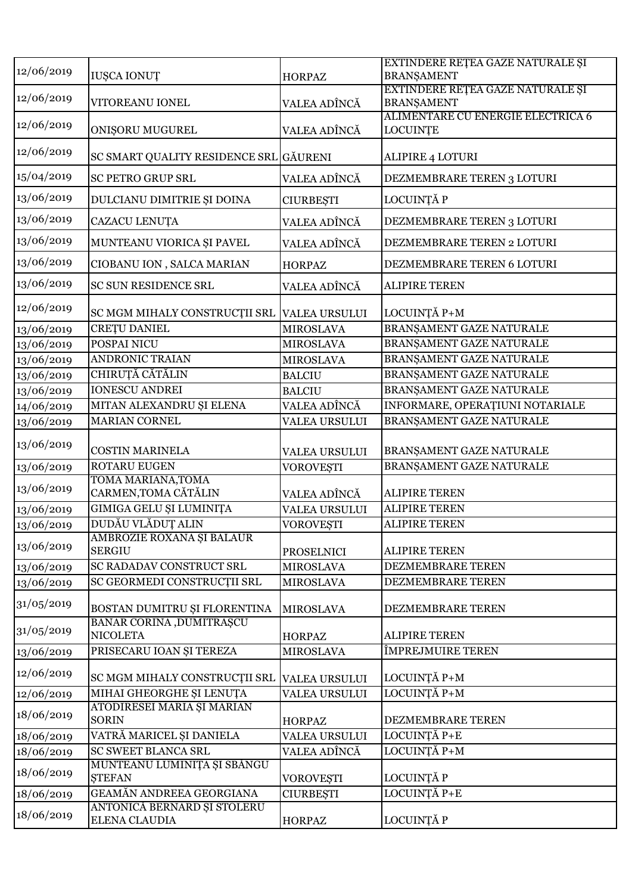| 12/06/2019 | <b>IUŞCA IONUȚ</b>                           | <b>HORPAZ</b>        | EXTINDERE REȚEA GAZE NATURALE ȘI<br><b>BRANŞAMENT</b> |
|------------|----------------------------------------------|----------------------|-------------------------------------------------------|
| 12/06/2019 | VITOREANU IONEL                              | VALEA ADÎNCĂ         | EXTINDERE REȚEA GAZE NATURALE ȘI<br><b>BRANŞAMENT</b> |
| 12/06/2019 | <b>ONIŞORU MUGUREL</b>                       | VALEA ADÎNCĂ         | ALIMENTARE CU ENERGIE ELECTRICĂ 6<br><b>LOCUINTE</b>  |
| 12/06/2019 | SC SMART QUALITY RESIDENCE SRL GĂURENI       |                      | ALIPIRE 4 LOTURI                                      |
| 15/04/2019 | <b>SC PETRO GRUP SRL</b>                     | VALEA ADÎNCĂ         | DEZMEMBRARE TEREN 3 LOTURI                            |
| 13/06/2019 | DULCIANU DIMITRIE ȘI DOINA                   | <b>CIURBEȘTI</b>     | LOCUINȚĂ P                                            |
| 13/06/2019 | CAZACU LENUȚA                                | VALEA ADÎNCĂ         | DEZMEMBRARE TEREN 3 LOTURI                            |
| 13/06/2019 | MUNTEANU VIORICA ȘI PAVEL                    | VALEA ADÎNCĂ         | DEZMEMBRARE TEREN 2 LOTURI                            |
| 13/06/2019 | CIOBANU ION, SALCA MARIAN                    | <b>HORPAZ</b>        | DEZMEMBRARE TEREN 6 LOTURI                            |
| 13/06/2019 | <b>SC SUN RESIDENCE SRL</b>                  | VALEA ADÎNCĂ         | <b>ALIPIRE TEREN</b>                                  |
| 12/06/2019 | SC MGM MIHALY CONSTRUCTII SRL                | <b>VALEA URSULUI</b> | LOCUINȚĂ P+M                                          |
| 13/06/2019 | <b>CRETU DANIEL</b>                          | <b>MIROSLAVA</b>     | BRANŞAMENT GAZE NATURALE                              |
| 13/06/2019 | POSPAI NICU                                  | <b>MIROSLAVA</b>     | BRANŞAMENT GAZE NATURALE                              |
| 13/06/2019 | <b>ANDRONIC TRAIAN</b>                       | <b>MIROSLAVA</b>     | BRANŞAMENT GAZE NATURALE                              |
| 13/06/2019 | CHIRUȚĂ CĂTĂLIN                              | <b>BALCIU</b>        | BRANŞAMENT GAZE NATURALE                              |
| 13/06/2019 | <b>IONESCU ANDREI</b>                        | <b>BALCIU</b>        | BRANŞAMENT GAZE NATURALE                              |
| 14/06/2019 | MITAN ALEXANDRU ȘI ELENA                     | VALEA ADÎNCĂ         | INFORMARE, OPERAȚIUNI NOTARIALE                       |
| 13/06/2019 | MARIAN CORNEL                                | <b>VALEA URSULUI</b> | BRANŞAMENT GAZE NATURALE                              |
|            |                                              |                      |                                                       |
| 13/06/2019 | <b>COSTIN MARINELA</b>                       | <b>VALEA URSULUI</b> | BRANŞAMENT GAZE NATURALE                              |
| 13/06/2019 | ROTARU EUGEN                                 | <b>VOROVEȘTI</b>     | BRANŞAMENT GAZE NATURALE                              |
| 13/06/2019 | TOMA MARIANA, TOMA<br>CARMEN, TOMA CĂTĂLIN   | VALEA ADÎNCĂ         | <b>ALIPIRE TEREN</b>                                  |
| 13/06/2019 | GIMIGA GELU ȘI LUMINIȚA                      | <b>VALEA URSULUI</b> | <b>ALIPIRE TEREN</b>                                  |
| 13/06/2019 | DUDĂU VLĂDUȚ ALIN                            | <b>VOROVESTI</b>     | <b>ALIPIRE TEREN</b>                                  |
| 13/06/2019 | AMBROZIE ROXANA ȘI BALAUR<br><b>SERGIU</b>   | <b>PROSELNICI</b>    | <b>ALIPIRE TEREN</b>                                  |
| 13/06/2019 | SC RADADAV CONSTRUCT SRL                     | <b>MIROSLAVA</b>     | DEZMEMBRARE TEREN                                     |
| 13/06/2019 | SC GEORMEDI CONSTRUCȚII SRL                  | <b>MIROSLAVA</b>     | DEZMEMBRARE TEREN                                     |
| 31/05/2019 | BOSTAN DUMITRU ȘI FLORENTINA                 | <b>MIROSLAVA</b>     | DEZMEMBRARE TEREN                                     |
| 31/05/2019 | BANAR CORINA , DUMITRAȘCU<br><b>NICOLETA</b> | <b>HORPAZ</b>        | <b>ALIPIRE TEREN</b>                                  |
| 13/06/2019 | PRISECARU IOAN ȘI TEREZA                     | <b>MIROSLAVA</b>     | ÎMPREJMUIRE TEREN                                     |
| 12/06/2019 | SC MGM MIHALY CONSTRUCTII SRL                | <b>VALEA URSULUI</b> | LOCUINȚĂ P+M                                          |
| 12/06/2019 | MIHAI GHEORGHE ȘI LENUȚA                     | VALEA URSULUI        | LOCUINȚĂ P+M                                          |
| 18/06/2019 | ATODIRESEI MARIA ȘI MARIAN<br><b>SORIN</b>   | <b>HORPAZ</b>        | DEZMEMBRARE TEREN                                     |
| 18/06/2019 | VATRĂ MARICEL ȘI DANIELA                     | <b>VALEA URSULUI</b> | LOCUINȚĂ P+E                                          |
| 18/06/2019 | SC SWEET BLANCA SRL                          | VALEA ADÎNCĂ         | LOCUINȚĂ P+M                                          |
| 18/06/2019 | MUNTEANU LUMINIȚA ȘI SBĂNGU<br><b>STEFAN</b> | <b>VOROVEȘTI</b>     | LOCUINȚĂ P                                            |
| 18/06/2019 | GEAMĂN ANDREEA GEORGIANA                     | <b>CIURBEȘTI</b>     | LOCUINȚĂ P+E                                          |
| 18/06/2019 | ANTONICĂ BERNARD ȘI STOLERU<br>ELENA CLAUDIA | <b>HORPAZ</b>        | LOCUINȚĂ P                                            |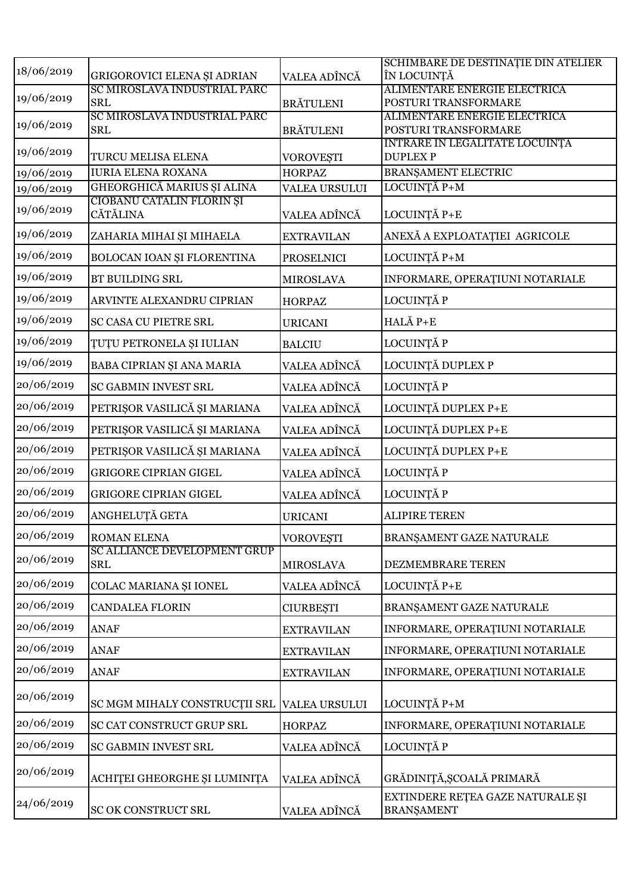|            |                                                   |                      | SCHIMBARE DE DESTINAȚIE DIN ATELIER                   |
|------------|---------------------------------------------------|----------------------|-------------------------------------------------------|
| 18/06/2019 | GRIGOROVICI ELENA ȘI ADRIAN                       | VALEA ADÎNCĂ         | ÎN LOCUINȚĂ                                           |
| 19/06/2019 | SC MIROSLAVA INDUSTRIAL PARC                      |                      | ALIMENTARE ENERGIE ELECTRICĂ                          |
|            | <b>SRL</b><br>SC MIROSLAVA INDUSTRIAL PARC        | <b>BRÄTULENI</b>     | POSTURI TRANSFORMARE<br>ALIMENTARE ENERGIE ELECTRICĂ  |
| 19/06/2019 | <b>SRL</b>                                        | <b>BRÄTULENI</b>     | POSTURI TRANSFORMARE                                  |
|            |                                                   |                      | INTRARE IN LEGALITATE LOCUINȚĂ                        |
| 19/06/2019 | TURCU MELISA ELENA                                | <b>VOROVEȘTI</b>     | <b>DUPLEXP</b>                                        |
| 19/06/2019 | <b>IURIA ELENA ROXANA</b>                         | <b>HORPAZ</b>        | BRANȘAMENT ELECTRIC                                   |
| 19/06/2019 | GHEORGHICĂ MARIUS ȘI ALINA                        | <b>VALEA URSULUI</b> | LOCUINȚĂ P+M                                          |
| 19/06/2019 | CIOBANU CĂTĂLIN FLORIN ȘI<br><b>CĂTĂLINA</b>      | VALEA ADÎNCĂ         | LOCUINȚĂ P+E                                          |
| 19/06/2019 | ZAHARIA MIHAI ȘI MIHAELA                          | <b>EXTRAVILAN</b>    | ANEXĂ A EXPLOATAȚIEI AGRICOLE                         |
| 19/06/2019 | BOLOCAN IOAN ȘI FLORENTINA                        | <b>PROSELNICI</b>    | LOCUINȚĂ P+M                                          |
| 19/06/2019 | BT BUILDING SRL                                   | <b>MIROSLAVA</b>     | INFORMARE, OPERAȚIUNI NOTARIALE                       |
| 19/06/2019 | ARVINTE ALEXANDRU CIPRIAN                         | <b>HORPAZ</b>        | LOCUINȚĂ P                                            |
| 19/06/2019 | SC CASA CU PIETRE SRL                             | <b>URICANI</b>       | HALĂ P+E                                              |
| 19/06/2019 | <b>TUTU PETRONELA ȘI IULIAN</b>                   | <b>BALCIU</b>        | LOCUINȚĂ P                                            |
| 19/06/2019 | BABA CIPRIAN ȘI ANA MARIA                         | VALEA ADÎNCĂ         | LOCUINȚĂ DUPLEX P                                     |
| 20/06/2019 | SC GABMIN INVEST SRL                              | VALEA ADÎNCĂ         | LOCUINȚĂ P                                            |
| 20/06/2019 | PETRIŞOR VASILICĂ ȘI MARIANA                      | VALEA ADÎNCĂ         | LOCUINȚĂ DUPLEX P+E                                   |
| 20/06/2019 | PETRIŞOR VASILICĂ ȘI MARIANA                      | VALEA ADÎNCĂ         | LOCUINȚĂ DUPLEX P+E                                   |
| 20/06/2019 | PETRIŞOR VASILICĂ ȘI MARIANA                      | VALEA ADÎNCĂ         | LOCUINȚĂ DUPLEX P+E                                   |
| 20/06/2019 | <b>GRIGORE CIPRIAN GIGEL</b>                      | VALEA ADÎNCĂ         | LOCUINȚĂ P                                            |
| 20/06/2019 | <b>GRIGORE CIPRIAN GIGEL</b>                      | VALEA ADÎNCĂ         | LOCUINȚĂ P                                            |
| 20/06/2019 | ANGHELUȚĂ GETA                                    | <b>URICANI</b>       | <b>ALIPIRE TEREN</b>                                  |
| 20/06/2019 | ROMAN ELENA                                       | <b>VOROVEȘTI</b>     | BRANŞAMENT GAZE NATURALE                              |
| 20/06/2019 | <b>SC ALLIANCE DEVELOPMENT GRUP</b><br><b>SRL</b> | <b>MIROSLAVA</b>     | DEZMEMBRARE TEREN                                     |
| 20/06/2019 | COLAC MARIANA ȘI IONEL                            | VALEA ADÎNCĂ         | LOCUINȚĂ P+E                                          |
| 20/06/2019 | <b>CANDALEA FLORIN</b>                            | <b>CIURBEȘTI</b>     | BRANŞAMENT GAZE NATURALE                              |
| 20/06/2019 | <b>ANAF</b>                                       | <b>EXTRAVILAN</b>    | INFORMARE, OPERAȚIUNI NOTARIALE                       |
| 20/06/2019 | <b>ANAF</b>                                       | <b>EXTRAVILAN</b>    | INFORMARE, OPERAȚIUNI NOTARIALE                       |
| 20/06/2019 | <b>ANAF</b>                                       | <b>EXTRAVILAN</b>    | INFORMARE, OPERAȚIUNI NOTARIALE                       |
| 20/06/2019 | SC MGM MIHALY CONSTRUCȚII SRL                     | <b>VALEA URSULUI</b> | LOCUINȚĂ P+M                                          |
| 20/06/2019 | SC CAT CONSTRUCT GRUP SRL                         | <b>HORPAZ</b>        | INFORMARE, OPERAȚIUNI NOTARIALE                       |
| 20/06/2019 | SC GABMIN INVEST SRL                              | VALEA ADÎNCĂ         | LOCUINȚĂ P                                            |
| 20/06/2019 | ACHITEI GHEORGHE ȘI LUMINIȚA                      | VALEA ADÎNCĂ         | GRĂDINIȚĂ, ȘCOALĂ PRIMARĂ                             |
| 24/06/2019 | SC OK CONSTRUCT SRL                               | VALEA ADÎNCĂ         | EXTINDERE REȚEA GAZE NATURALE ȘI<br><b>BRANŞAMENT</b> |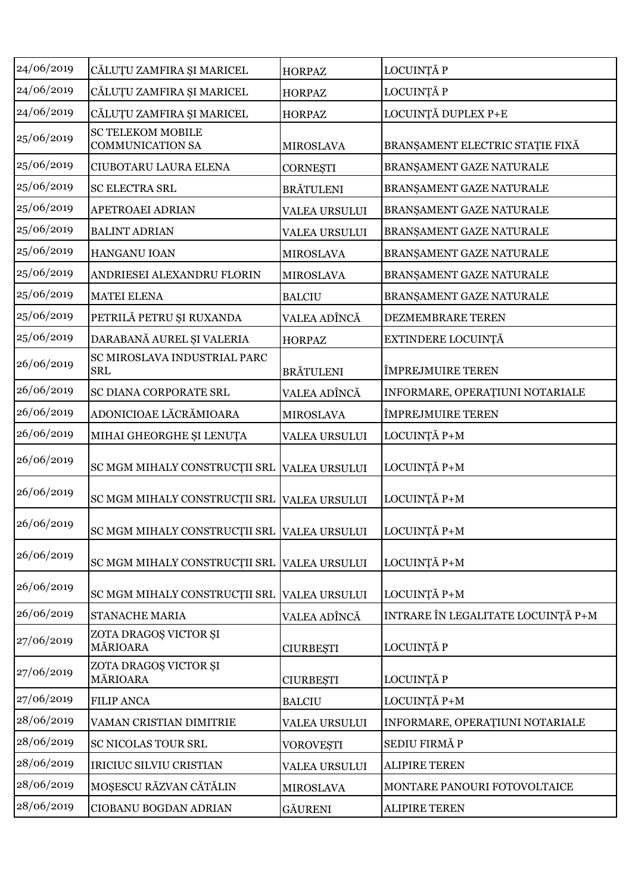| 24/06/2019 | CĂLUȚU ZAMFIRA ȘI MARICEL                           | <b>HORPAZ</b>        | LOCUINȚĂ P                         |
|------------|-----------------------------------------------------|----------------------|------------------------------------|
| 24/06/2019 | CĂLUȚU ZAMFIRA ȘI MARICEL                           | <b>HORPAZ</b>        | LOCUINȚĂ P                         |
| 24/06/2019 | CĂLUȚU ZAMFIRA ȘI MARICEL                           | <b>HORPAZ</b>        | LOCUINȚĂ DUPLEX P+E                |
| 25/06/2019 | <b>SC TELEKOM MOBILE</b><br><b>COMMUNICATION SA</b> | <b>MIROSLAVA</b>     | BRANŞAMENT ELECTRIC STAȚIE FIXĂ    |
| 25/06/2019 | CIUBOTARU LAURA ELENA                               | <b>CORNESTI</b>      | BRANŞAMENT GAZE NATURALE           |
| 25/06/2019 | <b>SC ELECTRA SRL</b>                               | <b>BRĂTULENI</b>     | BRANŞAMENT GAZE NATURALE           |
| 25/06/2019 | <b>APETROAEI ADRIAN</b>                             | <b>VALEA URSULUI</b> | BRANŞAMENT GAZE NATURALE           |
| 25/06/2019 | <b>BALINT ADRIAN</b>                                | <b>VALEA URSULUI</b> | BRANŞAMENT GAZE NATURALE           |
| 25/06/2019 | HANGANU IOAN                                        | <b>MIROSLAVA</b>     | BRANŞAMENT GAZE NATURALE           |
| 25/06/2019 | ANDRIESEI ALEXANDRU FLORIN                          | <b>MIROSLAVA</b>     | BRANŞAMENT GAZE NATURALE           |
| 25/06/2019 | <b>MATEI ELENA</b>                                  | <b>BALCIU</b>        | BRANŞAMENT GAZE NATURALE           |
| 25/06/2019 | PETRILĂ PETRU ȘI RUXANDA                            | VALEA ADÎNCĂ         | DEZMEMBRARE TEREN                  |
| 25/06/2019 | DARABANĂ AUREL ȘI VALERIA                           | <b>HORPAZ</b>        | EXTINDERE LOCUINȚĂ                 |
| 26/06/2019 | SC MIROSLAVA INDUSTRIAL PARC<br><b>SRL</b>          | <b>BRÄTULENI</b>     | ÎMPREJMUIRE TEREN                  |
| 26/06/2019 | SC DIANA CORPORATE SRL                              | VALEA ADÎNCĂ         | INFORMARE, OPERAȚIUNI NOTARIALE    |
| 26/06/2019 | ADONICIOAE LĂCRĂMIOARA                              | <b>MIROSLAVA</b>     | ÎMPREJMUIRE TEREN                  |
| 26/06/2019 | MIHAI GHEORGHE ȘI LENUȚA                            | <b>VALEA URSULUI</b> | LOCUINȚĂ P+M                       |
| 26/06/2019 | SC MGM MIHALY CONSTRUCTII SRL                       | <b>VALEA URSULUI</b> | LOCUINȚĂ P+M                       |
| 26/06/2019 | SC MGM MIHALY CONSTRUCȚII SRL VALEA URSULUI         |                      | LOCUINȚĂ P+M                       |
| 26/06/2019 | SC MGM MIHALY CONSTRUCȚII SRL VALEA URSULUI         |                      | LOCUINȚĂ P+M                       |
| 26/06/2019 | SC MGM MIHALY CONSTRUCTII SRL VALEA URSULUI         |                      | LOCUINȚĂ P+M                       |
| 26/06/2019 | SC MGM MIHALY CONSTRUCȚII SRL                       | <b>VALEA URSULUI</b> | LOCUINȚĂ P+M                       |
| 26/06/2019 | <b>STANACHE MARIA</b>                               | VALEA ADÎNCĂ         | INTRARE ÎN LEGALITATE LOCUINȚĂ P+M |
| 27/06/2019 | ZOTA DRAGOȘ VICTOR ȘI<br>MĂRIOARA                   | <b>CIURBEȘTI</b>     | LOCUINȚĂ P                         |
| 27/06/2019 | ZOTA DRAGOȘ VICTOR ȘI<br>MĂRIOARA                   | <b>CIURBEȘTI</b>     | LOCUINȚĂ P                         |
| 27/06/2019 | <b>FILIP ANCA</b>                                   | <b>BALCIU</b>        | LOCUINȚĂ P+M                       |
| 28/06/2019 | VAMAN CRISTIAN DIMITRIE                             | <b>VALEA URSULUI</b> | INFORMARE, OPERAȚIUNI NOTARIALE    |
| 28/06/2019 | SC NICOLAS TOUR SRL                                 | <b>VOROVEȘTI</b>     | SEDIU FIRMĂ P                      |
| 28/06/2019 | IRICIUC SILVIU CRISTIAN                             | <b>VALEA URSULUI</b> | <b>ALIPIRE TEREN</b>               |
|            |                                                     |                      |                                    |
| 28/06/2019 | MOȘESCU RĂZVAN CĂTĂLIN                              | <b>MIROSLAVA</b>     | MONTARE PANOURI FOTOVOLTAICE       |